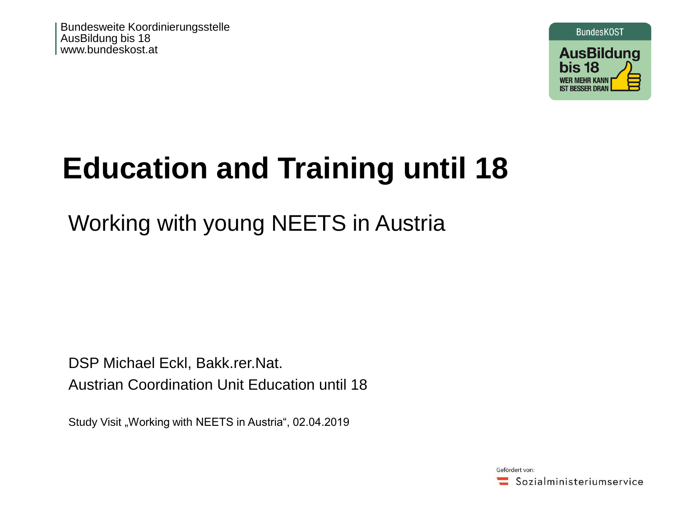Bundesweite Koordinierungsstelle AusBildung bis 18 www.bundeskost.at



# **Education and Training until 18**

# Working with young NEETS in Austria

DSP Michael Eckl, Bakk.rer.Nat. Austrian Coordination Unit Education until 18

Study Visit "Working with NEETS in Austria", 02.04.2019

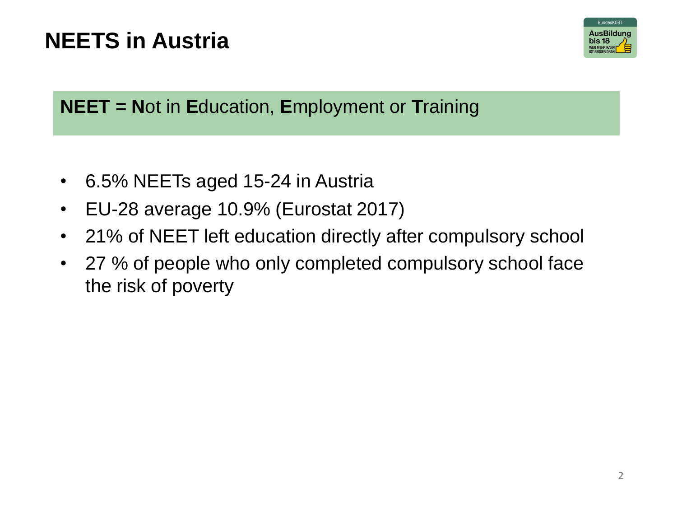# **NEETS in Austria**



### **NEET = N**ot in **E**ducation, **E**mployment or **T**raining

- 6.5% NEETs aged 15-24 in Austria
- EU-28 average 10.9% (Eurostat 2017)
- 21% of NEET left education directly after compulsory school
- 27 % of people who only completed compulsory school face the risk of poverty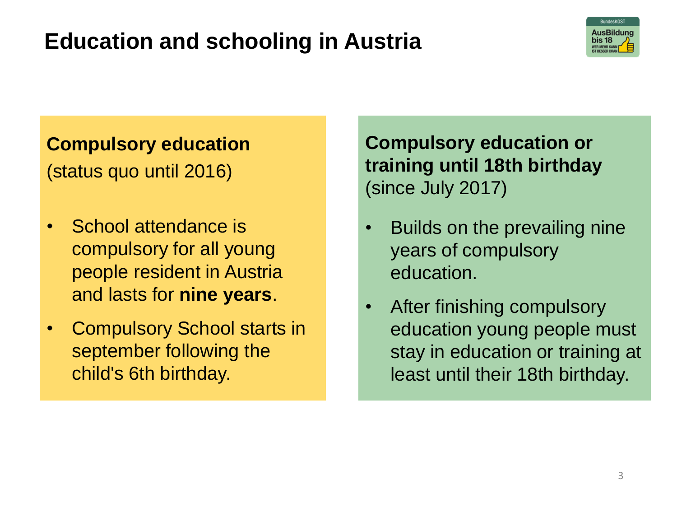# **Education and schooling in Austria**



### **Compulsory education**

(status quo until 2016)

- School attendance is compulsory for all young people resident in Austria and lasts for **nine years**.
- Compulsory School starts in september following the child's 6th birthday.

**Compulsory education or training until 18th birthday** (since July 2017)

- Builds on the prevailing nine years of compulsory education.
- After finishing compulsory education young people must stay in education or training at least until their 18th birthday.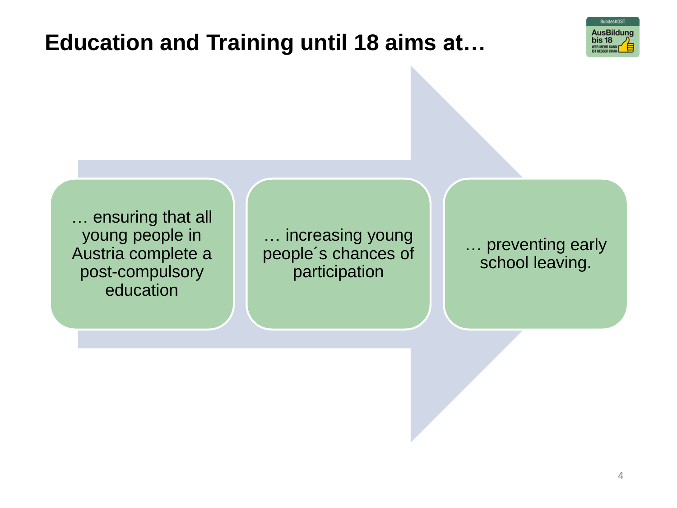## **Education and Training until 18 aims at…**



… ensuring that all young people in Austria complete a post-compulsory education

… increasing young people´s chances of participation

… preventing early school leaving.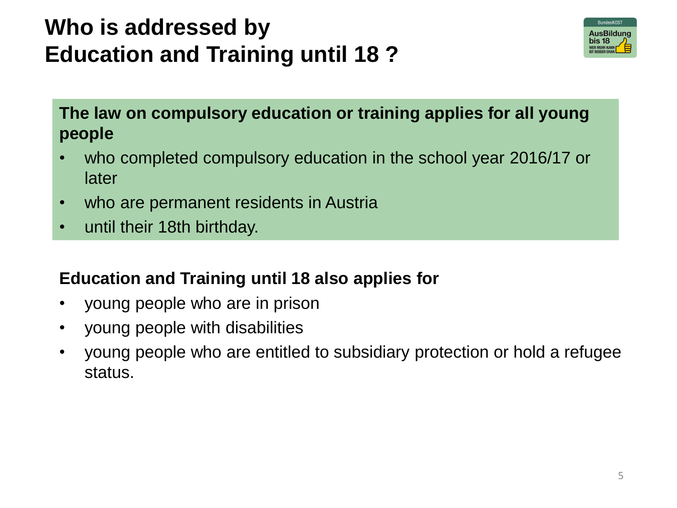# **Who is addressed by Education and Training until 18 ?**



**The law on compulsory education or training applies for all young people**

- who completed compulsory education in the school year 2016/17 or later
- who are permanent residents in Austria
- until their 18th birthday.

#### **Education and Training until 18 also applies for**

- young people who are in prison
- young people with disabilities
- young people who are entitled to subsidiary protection or hold a refugee status.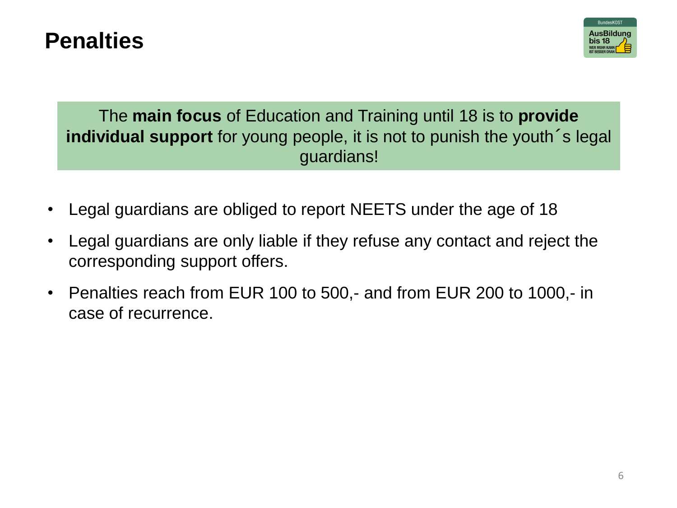### **Penalties**



The **main focus** of Education and Training until 18 is to **provide individual support** for young people, it is not to punish the youth´s legal guardians!

- Legal guardians are obliged to report NEETS under the age of 18
- Legal guardians are only liable if they refuse any contact and reject the corresponding support offers.
- Penalties reach from EUR 100 to 500,- and from EUR 200 to 1000,- in case of recurrence.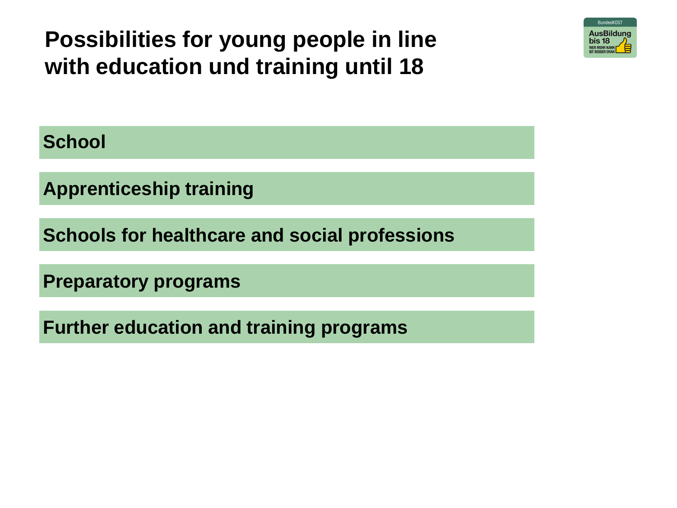**Possibilities for young people in line with education und training until 18**



**School**

**Apprenticeship training**

**Schools for healthcare and social professions**

**Preparatory programs**

**Further education and training programs**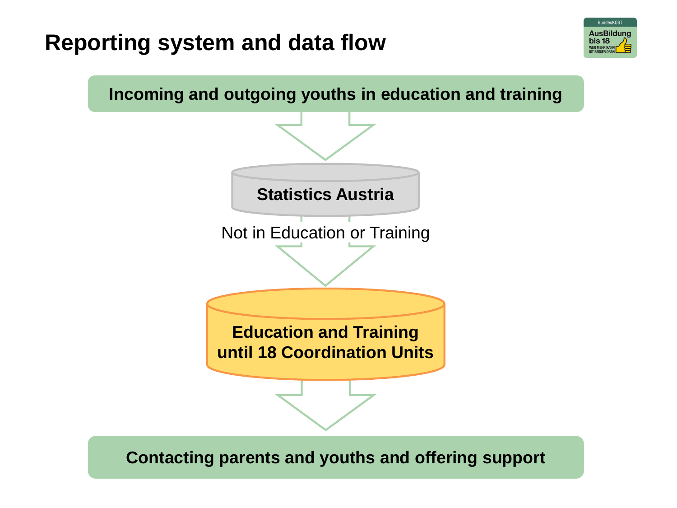### **Reporting system and data flow**



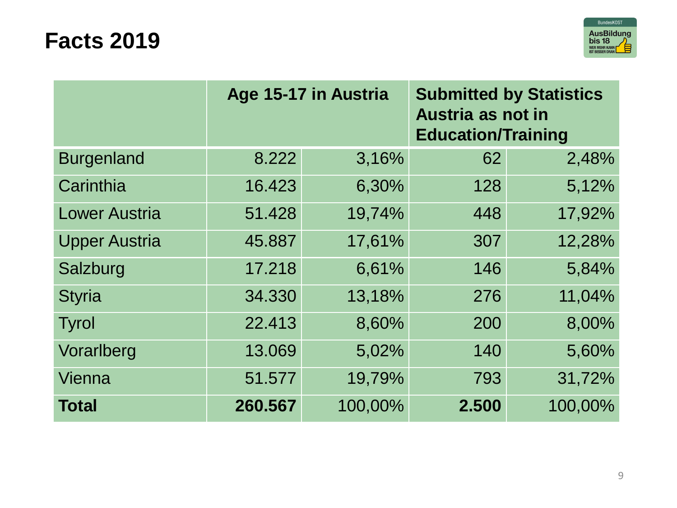### **Facts 2019**



|                      | Age 15-17 in Austria |         | <b>Submitted by Statistics</b><br>Austria as not in<br><b>Education/Training</b> |         |
|----------------------|----------------------|---------|----------------------------------------------------------------------------------|---------|
| <b>Burgenland</b>    | 8.222                | 3,16%   | 62                                                                               | 2,48%   |
| Carinthia            | 16.423               | 6,30%   | 128                                                                              | 5,12%   |
| <b>Lower Austria</b> | 51.428               | 19,74%  | 448                                                                              | 17,92%  |
| <b>Upper Austria</b> | 45.887               | 17,61%  | 307                                                                              | 12,28%  |
| Salzburg             | 17.218               | 6,61%   | 146                                                                              | 5,84%   |
| <b>Styria</b>        | 34.330               | 13,18%  | 276                                                                              | 11,04%  |
| Tyrol                | 22.413               | 8,60%   | 200                                                                              | 8,00%   |
| Vorarlberg           | 13.069               | 5,02%   | 140                                                                              | 5,60%   |
| Vienna               | 51.577               | 19,79%  | 793                                                                              | 31,72%  |
| <b>Total</b>         | 260.567              | 100,00% | 2.500                                                                            | 100,00% |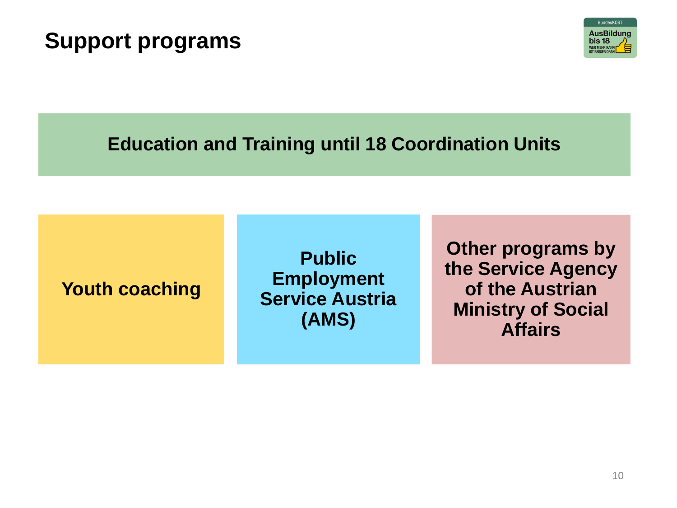### **Support programs**



### **Education and Training until 18 Coordination Units**

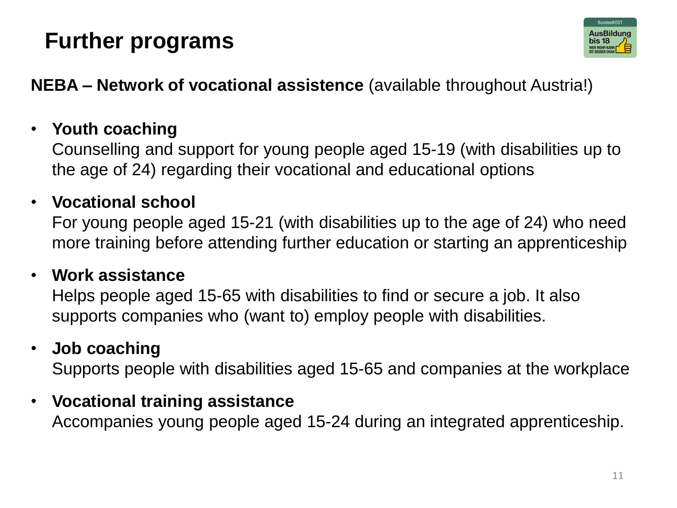# **Further programs**



**NEBA – Network of vocational assistence** (available throughout Austria!)

### • **Youth coaching**

Counselling and support for young people aged 15-19 (with disabilities up to the age of 24) regarding their vocational and educational options

### • **Vocational school**

For young people aged 15-21 (with disabilities up to the age of 24) who need more training before attending further education or starting an apprenticeship

#### • **Work assistance**

Helps people aged 15-65 with disabilities to find or secure a job. It also supports companies who (want to) employ people with disabilities.

### • **Job coaching**

Supports people with disabilities aged 15-65 and companies at the workplace

### • **Vocational training assistance**

Accompanies young people aged 15-24 during an integrated apprenticeship.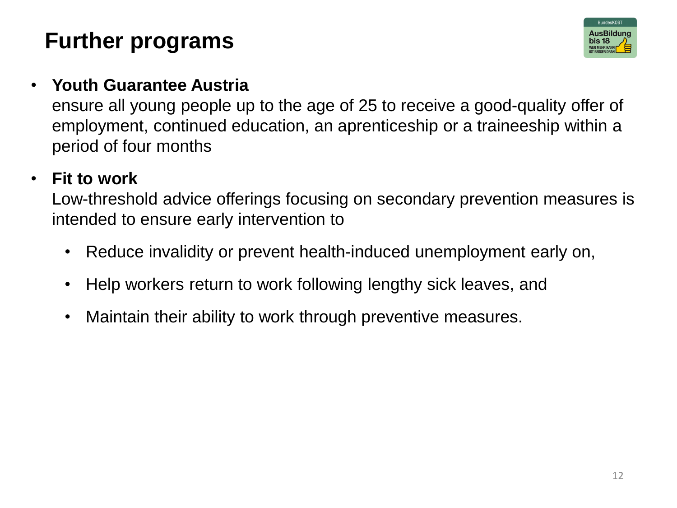# **Further programs**



#### • **Youth Guarantee Austria**

ensure all young people up to the age of 25 to receive a good-quality offer of employment, continued education, an aprenticeship or a traineeship within a period of four months

#### • **Fit to work**

Low-threshold advice offerings focusing on secondary prevention measures is intended to ensure early intervention to

- Reduce invalidity or prevent health-induced unemployment early on,
- Help workers return to work following lengthy sick leaves, and
- Maintain their ability to work through preventive measures.